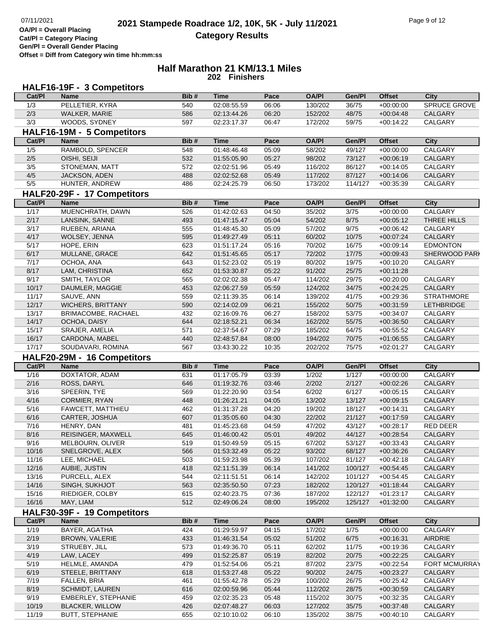**OA/Pl = Overall Placing**

**Cat/Pl = Category Placing Gen/Pl = Overall Gender Placing**

**Offset = Diff from Category win time hh:mm:ss**

#### **Half Marathon 21 KM/13.1 Miles 202 Finishers**

|                | HALF16-19F - 3 Competitors                       |            |                            |                |                    |                  |                            |                           |
|----------------|--------------------------------------------------|------------|----------------------------|----------------|--------------------|------------------|----------------------------|---------------------------|
| Cat/PI         | <b>Name</b>                                      | Bib#       | <b>Time</b>                | Pace           | <b>OA/PI</b>       | Gen/Pl           | <b>Offset</b>              | <b>City</b>               |
| 1/3            | PELLETIER, KYRA                                  | 540        | 02:08:55.59                | 06:06          | 130/202            | 36/75            | $+00:00:00$                | SPRUCE GROVE              |
| 2/3            | WALKER, MARIE                                    | 586        | 02:13:44.26                | 06:20          | 152/202            | 48/75            | $+00:04:48$                | <b>CALGARY</b>            |
| 3/3            | WOODS, SYDNEY                                    | 597        | 02:23:17.37                | 06:47          | 172/202            | 59/75            | $+00:14:22$                | <b>CALGARY</b>            |
|                | HALF16-19M - 5 Competitors                       |            |                            |                |                    |                  |                            |                           |
| Cat/PI         | <b>Name</b>                                      | Bib#       | <b>Time</b>                | Pace           | <b>OA/PI</b>       | Gen/Pl           | <b>Offset</b>              | <b>City</b>               |
| 1/5            | RAMBOLD, SPENCER                                 | 548        | 01:48:46.48                | 05:09          | 58/202             | 49/127           | $+00:00:00$                | <b>CALGARY</b>            |
| 2/5            | OISHI, SEIJI                                     | 532        | 01:55:05.90                | 05:27          | 98/202             | 73/127           | $+00:06:19$                | CALGARY                   |
| 3/5            | STONEMAN, MATT                                   | 572        | 02:02:51.96                | 05:49          | 116/202            | 86/127           | $+00:14:05$                | CALGARY                   |
| 4/5            | JACKSON, ADEN                                    | 488        | 02:02:52.68                | 05:49          | 117/202            | 87/127           | $+00:14:06$                | CALGARY                   |
| 5/5            | HUNTER, ANDREW                                   | 486        | 02:24:25.79                | 06:50          | 173/202            | 114/127          | $+00:35:39$                | CALGARY                   |
|                | HALF20-29F - 17 Competitors                      |            |                            |                |                    |                  |                            |                           |
| Cat/PI         | <b>Name</b>                                      | Bib#       | <b>Time</b>                | Pace           | <b>OA/PI</b>       | Gen/Pl           | <b>Offset</b>              | <b>City</b>               |
| $\frac{1}{17}$ | MUENCHRATH, DAWN                                 | 526        | 01:42:02.63                | 04:50          | 35/202             | 3/75             | $+00:00:00$                | CALGARY                   |
| 2/17           | LANSINK, SANNE                                   | 493        | 01:47:15.47                | 05:04          | 54/202             | 8/75             | $+00:05:12$                | THREE HILLS               |
| 3/17           | RUEBEN, ARIANA                                   | 555        | 01:48:45.30                | 05:09          | 57/202             | 9/75             | $+00:06:42$                | CALGARY                   |
| 4/17           | WOLSEY, JENNA                                    | 595        | 01:49:27.49                | 05:11          | 60/202             | 10/75            | $+00:07:24$                | CALGARY                   |
| 5/17           | HOPE, ERIN                                       | 623        | 01:51:17.24                | 05:16          | 70/202             | 16/75            | $+00:09:14$                | <b>EDMONTON</b>           |
| 6/17           | MULLANE, GRACE                                   | 642        | 01:51:45.65                | 05:17          | 72/202             | 17/75            | $+00:09:43$                | SHERWOOD PARI             |
| 7/17           | OCHOA, ANA                                       | 643        | 01:52:23.02                | 05:19          | 80/202             | 19/75            | $+00:10:20$                | CALGARY                   |
| 8/17           | LAM, CHRISTINA                                   | 652        | 01:53:30.87                | 05:22          | 91/202             | 25/75            | $+00:11:28$                |                           |
| 9/17           | SMITH, TAYLOR                                    | 565        | 02:02:02.38                | 05:47          | 114/202            | 29/75            | $+00:20:00$                | CALGARY                   |
| 10/17          | DAUMLER, MAGGIE                                  | 453        | 02:06:27.59                | 05:59          | 124/202            | 34/75            | $+00:24:25$                | CALGARY                   |
| 11/17          | SAUVE, ANN                                       | 559        | 02:11:39.35                | 06:14          | 139/202            | 41/75            | $+00:29:36$                | <b>STRATHMORE</b>         |
| 12/17          | <b>WICHERS, BRITTANY</b>                         | 590        | 02:14:02.09                | 06:21          | 155/202            | 50/75            | $+00:31:59$                | <b>LETHBRIDGE</b>         |
| 13/17          | BRIMACOMBE, RACHAEL                              | 432        | 02:16:09.76                | 06:27          | 158/202            | 53/75            | $+00:34:07$                | CALGARY                   |
| 14/17          | OCHOA, DAISY                                     | 644        | 02:18:52.21                | 06:34          | 162/202            | 55/75            | $+00:36:50$                | CALGARY                   |
| 15/17          | SRAJER, AMELIA                                   | 571        | 02:37:54.67                | 07:29          | 185/202            | 64/75            | $+00:55:52$                | CALGARY                   |
| 16/17          | CARDONA, MABEL                                   | 440        | 02:48:57.84                | 08:00          | 194/202            | 70/75            | $+01:06:55$                | CALGARY                   |
| 17/17          | SOUDAVARI, ROMINA                                | 567        | 03:43:30.22                | 10:35          | 202/202            | 75/75            | $+02:01:27$                | CALGARY                   |
| Cat/PI         | HALF20-29M - 16 Competitors                      | Bib#       | <b>Time</b>                | Pace           | <b>OA/PI</b>       | Gen/Pl           | <b>Offset</b>              | <b>City</b>               |
|                |                                                  |            |                            |                |                    |                  |                            |                           |
|                | <b>Name</b>                                      |            |                            |                |                    |                  |                            |                           |
| 1/16           | DOXTATOR, ADAM                                   | 631        | 01:17:05.79                | 03:39          | 1/202              | 1/127            | $+00:00:00$                | CALGARY                   |
| 2/16           | ROSS, DARYL                                      | 646        | 01:19:32.76                | 03:46          | 2/202              | 2/127            | $+00:02:26$                | CALGARY                   |
| 3/16           | SPEERIN, TYE                                     | 569        | 01:22:20.90                | 03:54          | 6/202              | 6/127            | $+00:05:15$                | CALGARY                   |
| 4/16           | CORMIER, RYAN                                    | 448        | 01:26:21.21                | 04:05          | 13/202             | 13/127           | $+00:09:15$                | CALGARY                   |
| 5/16           | FAWCETT, MATTHIEU                                | 462        | 01:31:37.28                | 04:20          | 19/202             | 18/127           | $+00:14:31$                | CALGARY                   |
| 6/16           | CARTER, JOSHUA                                   | 607        | 01:35:05.60                | 04:30          | 22/202             | 21/127           | $+00:17:59$                | CALGARY                   |
| 7/16           | HENRY, DAN                                       | 481        | 01:45:23.68                | 04:59          | 47/202             | 43/127           | $+00:28:17$                | RED DEER                  |
| 8/16           | REISINGER, MAXWELL                               | 645        | 01:46:00.42                | 05:01          | 49/202             | 44/127           | $+00:28:54$                | <b>CALGARY</b>            |
| 9/16<br>10/16  | MELBOURN, OLIVER<br>SNELGROVE, ALEX              | 519<br>566 | 01:50:49.59<br>01:53:32.49 | 05:15<br>05:22 | 67/202<br>93/202   | 53/127<br>68/127 | $+00:33:43$<br>$+00:36:26$ | <b>CALGARY</b><br>CALGARY |
| 11/16          | LEE, MICHAEL                                     | 503        | 01:59:23.98                | 05:39          | 107/202            | 81/127           | $+00:42:18$                | CALGARY                   |
| 12/16          | AUBIE, JUSTIN                                    | 418        | 02:11:51.39                | 06:14          | 141/202            | 100/127          | $+00.54:45$                | <b>CALGARY</b>            |
| 13/16          | PURCELL, ALEX                                    | 544        | 02:11:51.51                | 06:14          | 142/202            | 101/127          | $+00:54:45$                | CALGARY                   |
| 14/16          | SINGH, SUKHJOT                                   | 563        | 02:35:50.50                | 07:23          | 182/202            | 120/127          | $+01:18:44$                | CALGARY                   |
| 15/16          | RIEDIGER, COLBY                                  | 615        | 02:40:23.75                | 07:36          | 187/202            | 122/127          | $+01:23:17$                | CALGARY                   |
| 16/16          | MAY, LIAM                                        | 512        | 02:49:06.24                | 08:00          | 195/202            | 125/127          | $+01:32:00$                | CALGARY                   |
|                | HALF30-39F - 19 Competitors                      |            |                            |                |                    |                  |                            |                           |
| Cat/PI         | <b>Name</b>                                      | Bib#       | <b>Time</b>                | Pace           | <b>OA/PI</b>       | Gen/Pl           | <b>Offset</b>              | City                      |
| 1/19           | BAYER, AGATHA                                    | 424        | 01:29:59.97                | 04:15          | 17/202             | 1/75             | $+00:00:00$                | CALGARY                   |
| 2/19           | BROWN, VALERIE                                   | 433        | 01:46:31.54                | 05:02          | 51/202             | 6/75             | $+00:16:31$                | AIRDRIE                   |
| 3/19           | STRUEBY, JILL                                    | 573        | 01:49:36.70                | 05:11          | 62/202             | 11/75            | $+00:19:36$                | CALGARY                   |
| 4/19           | LAW, LACEY                                       | 499        | 01:52:25.87                | 05:19          | 82/202             | 20/75            | $+00:22:25$                | CALGARY                   |
| 5/19           | HELMLE, AMANDA                                   | 479        | 01:52:54.06                | 05:21          | 87/202             | 23/75            | $+00:22:54$                | <b>FORT MCMURRAY</b>      |
| 6/19           | STEELE, BRITTANY                                 | 618        | 01:53:27.48                | 05:22          | 90/202             | 24/75            | $+00:23:27$                | CALGARY                   |
| 7/19           | FALLEN, BRIA                                     | 461        | 01:55:42.78                | 05:29          | 100/202            | 26/75            | $+00:25:42$                | CALGARY                   |
| 8/19           | <b>SCHMIDT, LAUREN</b>                           | 616        | 02:00:59.96                | 05:44          | 112/202            | 28/75            | $+00:30:59$                | <b>CALGARY</b>            |
| 9/19           | EMBERLEY, STEPHANIE                              | 459        | 02:02:35.23                | 05:48          | 115/202            | 30/75            | $+00:32:35$                | CALGARY                   |
| 10/19<br>11/19 | <b>BLACKER, WILLOW</b><br><b>BUTT, STEPHANIE</b> | 426<br>655 | 02:07:48.27<br>02:10:10.02 | 06:03<br>06:10 | 127/202<br>135/202 | 35/75<br>38/75   | $+00:37:48$<br>$+00:40:10$ | CALGARY<br>CALGARY        |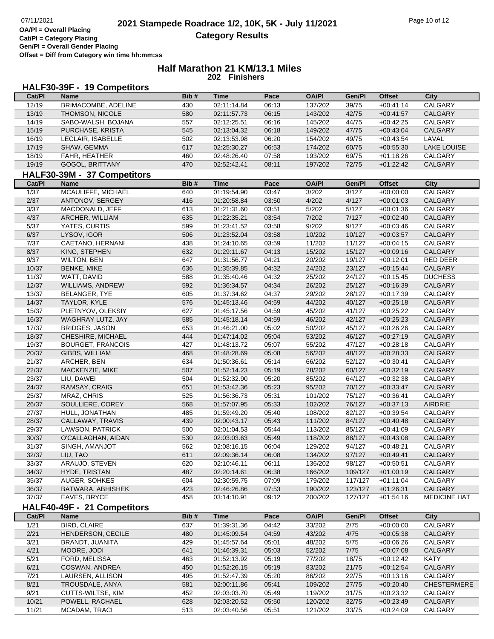**OA/Pl = Overall Placing Cat/Pl = Category Placing Gen/Pl = Overall Gender Placing Offset = Diff from Category win time hh:mm:ss**

#### **Half Marathon 21 KM/13.1 Miles 202 Finishers**

# **HALF30-39F - 19 Competitors**

| Cat/PI       | <b>Name</b>                 | Bib#       | Time                       | Pace  | <b>OA/PI</b> | Gen/Pl         | <b>Offset</b> | City                |
|--------------|-----------------------------|------------|----------------------------|-------|--------------|----------------|---------------|---------------------|
| 12/19        | BRIMACOMBE, ADELINE         | 430        | 02:11:14.84                | 06:13 | 137/202      | 39/75          | $+00:41:14$   | <b>CALGARY</b>      |
| 13/19        | THOMSON, NICOLE             | 580        | 02:11:57.73                | 06:15 | 143/202      | 42/75          | $+00.41.57$   | CALGARY             |
| 14/19        | SABO-WALSH, BOJANA          | 557        | 02:12:25.51                | 06:16 | 145/202      | 44/75          | $+00:42:25$   | CALGARY             |
| 15/19        | PURCHASE, KRISTA            | 545        | 02:13:04.32                | 06:18 | 149/202      | 47/75          | $+00:43:04$   | CALGARY             |
| 16/19        | LECLAIR, ISABELLE           | 502        | 02:13:53.98                | 06:20 | 154/202      | 49/75          | $+00:43:54$   | LAVAL               |
| 17/19        | SHAW, GEMMA                 | 617        | 02:25:30.27                | 06:53 | 174/202      | 60/75          | $+00:55:30$   | <b>LAKE LOUISE</b>  |
| 18/19        | FAHR, HEATHER               | 460        | 02:48:26.40                | 07:58 | 193/202      | 69/75          | $+01:18:26$   | CALGARY             |
| 19/19        | GOGOL, BRITTANY             | 470        | 02:52:42.41                | 08:11 | 197/202      | 72/75          | $+01:22:42$   | CALGARY             |
|              | HALF30-39M - 37 Competitors |            |                            |       |              |                |               |                     |
| Cat/PI       | <b>Name</b>                 | Bib#       | <b>Time</b>                | Pace  | <b>OA/PI</b> | Gen/Pl         | <b>Offset</b> | <b>City</b>         |
| $1/37$       | MCAULIFFE, MICHAEL          | 640        |                            | 03:47 | 3/202        | 3/127          |               | <b>CALGARY</b>      |
| 2/37         | ANTONOV, SERGEY             | 416        | 01:19:54.90                |       |              | 4/127          | $+00:00:00$   |                     |
| 3/37         |                             |            | 01:20:58.84<br>01:21:31.60 | 03:50 | 4/202        |                | $+00:01:03$   | CALGARY             |
| 4/37         | MACDONALD, JEFF             | 613        |                            | 03:51 | 5/202        | 5/127          | $+00:01:36$   | CALGARY             |
| 5/37         | ARCHER, WILLIAM             | 635<br>599 | 01:22:35.21                | 03:54 | 7/202        | 7/127<br>9/127 | $+00:02:40$   | CALGARY             |
|              | YATES, CURTIS               | 506        | 01:23:41.52                | 03:58 | 9/202        |                | $+00:03:46$   | CALGARY             |
| 6/37<br>7/37 | LYSOV, IGOR                 |            | 01:23:52.04                | 03:58 | 10/202       | 10/127         | $+00:03:57$   | CALGARY             |
|              | CAETANO, HERNANI            | 438        | 01:24:10.65                | 03:59 | 11/202       | 11/127         | $+00:04:15$   | CALGARY             |
| 8/37         | KING, STEPHEN               | 632        | 01:29:11.67                | 04:13 | 15/202       | 15/127         | $+00:09:16$   | CALGARY             |
| 9/37         | <b>WILTON, BEN</b>          | 647        | 01:31:56.77                | 04:21 | 20/202       | 19/127         | $+00:12:01$   | <b>RED DEER</b>     |
| 10/37        | <b>BENKE, MIKE</b>          | 636        | 01:35:39.85                | 04:32 | 24/202       | 23/127         | $+00:15:44$   | CALGARY             |
| 11/37        | WATT, DAVID                 | 588        | 01:35:40.46                | 04:32 | 25/202       | 24/127         | $+00:15:45$   | <b>DUCHESS</b>      |
| 12/37        | <b>WILLIAMS, ANDREW</b>     | 592        | 01:36:34.57                | 04:34 | 26/202       | 25/127         | $+00:16:39$   | CALGARY             |
| 13/37        | <b>BELANGER, TYE</b>        | 605        | 01:37:34.62                | 04:37 | 29/202       | 28/127         | $+00:17:39$   | CALGARY             |
| 14/37        | TAYLOR, KYLE                | 576        | 01:45:13.46                | 04:59 | 44/202       | 40/127         | $+00:25:18$   | CALGARY             |
| 15/37        | PLETNYOV, OLEKSIY           | 627        | 01:45:17.56                | 04:59 | 45/202       | 41/127         | $+00:25:22$   | CALGARY             |
| 16/37        | WAGHRAY LUTZ, JAY           | 585        | 01:45:18.14                | 04:59 | 46/202       | 42/127         | $+00:25:23$   | CALGARY             |
| 17/37        | <b>BRIDGES, JASON</b>       | 653        | 01:46:21.00                | 05:02 | 50/202       | 45/127         | $+00:26:26$   | CALGARY             |
| 18/37        | CHESHIRE, MICHAEL           | 444        | 01:47:14.02                | 05:04 | 53/202       | 46/127         | $+00:27:19$   | CALGARY             |
| 19/37        | <b>BOURGET, FRANCOIS</b>    | 427        | 01:48:13.72                | 05:07 | 55/202       | 47/127         | $+00:28:18$   | CALGARY             |
| 20/37        | GIBBS, WILLIAM              | 468        | 01:48:28.69                | 05:08 | 56/202       | 48/127         | $+00:28:33$   | CALGARY             |
| 21/37        | ARCHER, BEN                 | 634        | 01:50:36.61                | 05:14 | 66/202       | 52/127         | $+00:30:41$   | CALGARY             |
| 22/37        | MACKENZIE, MIKE             | 507        | 01:52:14.23                | 05:19 | 78/202       | 60/127         | $+00:32:19$   | CALGARY             |
| 23/37        | LIU, DAWEI                  | 504        | 01:52:32.90                | 05:20 | 85/202       | 64/127         | $+00:32:38$   | CALGARY             |
| 24/37        | RAMSAY, CRAIG               | 651        | 01:53:42.36                | 05:23 | 95/202       | 70/127         | $+00:33:47$   | CALGARY             |
| 25/37        | MRAZ, CHRIS                 | 525        | 01:56:36.73                | 05:31 | 101/202      | 75/127         | $+00:36:41$   | CALGARY             |
| 26/37        | SOULLIERE, COREY            | 568        | 01:57:07.95                | 05:33 | 102/202      | 76/127         | $+00:37:13$   | AIRDRIE             |
| 27/37        | HULL, JONATHAN              | 485        | 01:59:49.20                | 05:40 | 108/202      | 82/127         | $+00:39:54$   | CALGARY             |
| 28/37        | CALLAWAY, TRAVIS            | 439        | 02:00:43.17                | 05:43 | 111/202      | 84/127         | $+00:40:48$   | CALGARY             |
| 29/37        | LAWSON, PATRICK             | 500        | 02:01:04.53                | 05:44 | 113/202      | 85/127         | $+00:41:09$   | CALGARY             |
| 30/37        | O'CALLAGHAN, AIDAN          | 530        | 02:03:03.63                | 05:49 | 118/202      | 88/127         | $+00:43:08$   | CALGARY             |
| 31/37        | SINGH, AMANJOT              | 562        | 02:08:16.15                | 06:04 | 129/202      | 94/127         | $+00:48:21$   | CALGARY             |
| 32/37        | LIU, TAO                    | 611        | 02:09:36.14                | 06:08 | 134/202      | 97/127         | $+00:49:41$   | <b>CALGARY</b>      |
| 33/37        | ARAUJO, STEVEN              | 620        | 02:10:46.11                | 06:11 | 136/202      | 98/127         | $+00:50:51$   | CALGARY             |
| 34/37        | HYDE, TRISTAN               | 487        | 02:20:14.61                | 06:38 | 166/202      | 109/127        | $+01:00:19$   | <b>CALGARY</b>      |
| 35/37        | <b>AUGER, SOHKES</b>        | 604        | 02:30:59.75                | 07:09 | 179/202      | 117/127        | $+01:11:04$   | CALGARY             |
| 36/37        | BATWARA, ABHISHEK           | 423        | 02:46:26.86                | 07:53 | 190/202      | 123/127        | $+01:26:31$   | CALGARY             |
| 37/37        | EAVES, BRYCE                | 458        | 03:14:10.91                | 09:12 | 200/202      | 127/127        | $+01:54:16$   | <b>MEDICINE HAT</b> |
|              | HALF40-49F - 21 Competitors |            |                            |       |              |                |               |                     |
| Cat/PI       | Name                        | Bib#       | <b>Time</b>                | Pace  | <b>OA/PI</b> | Gen/Pl         | <b>Offset</b> | <b>City</b>         |
| 1/21         | <b>BIRD, CLAIRE</b>         | 637        | 01:39:31.36                | 04:42 | 33/202       | 2/75           | $+00:00:00$   | CALGARY             |
| 2/21         | HENDERSON, CECILE           | 480        | 01:45:09.54                | 04:59 | 43/202       | 4/75           | $+00:05:38$   | CALGARY             |
| 3/21         | BRANDT, JUANITA             | 429        | 01:45:57.64                | 05:01 | 48/202       | $5/75$         | $+00:06:26$   | CALGARY             |
| 4/21         | MOORE, JODI                 | 641        | 01:46:39.31                | 05:03 | 52/202       | $7/75$         | $+00:07:08$   | CALGARY             |
| 5/21         | FORD, MELISSA               | 463        | 01:52:13.92                | 05:19 | 77/202       | 18/75          | $+00:12:42$   | <b>KATY</b>         |
| 6/21         | COSWAN, ANDREA              | 450        | 01:52:26.15                | 05:19 | 83/202       | 21/75          | $+00:12:54$   | CALGARY             |
| $7/21$       | LAURSEN, ALLISON            | 495        | 01:52:47.39                | 05:20 | 86/202       | 22/75          | $+00:13:16$   | CALGARY             |
| 8/21         | TROUSDALE, ANYA             | 581        | 02:00:11.86                | 05:41 | 109/202      | 27/75          | $+00:20:40$   | <b>CHESTERMERE</b>  |
| 9/21         | CUTTS-WILTSE, KIM           | 452        | 02:03:03.70                | 05:49 | 119/202      | 31/75          | $+00:23:32$   | CALGARY             |
| 10/21        | POWELL, RACHAEL             | 628        | 02:03:20.52                | 05:50 | 120/202      | 32/75          | $+00:23:49$   | CALGARY             |
| 11/21        | MCADAM, TRACI               | 513        | 02:03:40.56                | 05:51 | 121/202      | 33/75          | $+00:24:09$   | CALGARY             |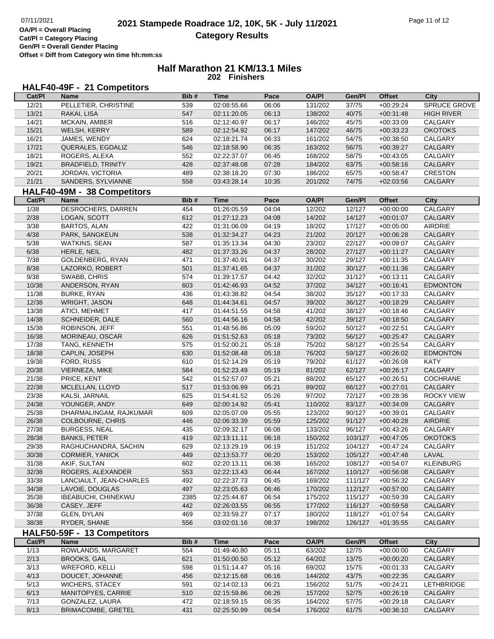**OA/Pl = Overall Placing Cat/Pl = Category Placing Gen/Pl = Overall Gender Placing Offset = Diff from Category win time hh:mm:ss**

# **Half Marathon 21 KM/13.1 Miles 202 Finishers**

# **HALF40-49F - 21 Competitors**

| Cat/PI         | <b>Name</b>                                  | Bib#       | <b>Time</b>                | Pace           | <b>OA/PI</b>       | Gen/Pl             | <b>Offset</b>              | <b>City</b>                      |
|----------------|----------------------------------------------|------------|----------------------------|----------------|--------------------|--------------------|----------------------------|----------------------------------|
| 12/21          | PELLETIER, CHRISTINE                         | 539        | 02:08:55.66                | 06:06          | 131/202            | 37/75              | $+00:29:24$                | SPRUCE GROVE                     |
| 13/21          | RAKAI, LISA                                  | 547        | 02:11:20.05                | 06:13          | 138/202            | 40/75              | $+00:31:48$                | <b>HIGH RIVER</b>                |
| 14/21          | MCKAIN, AMBER                                | 516        | 02:12:40.97                | 06:17          | 146/202            | 45/75              | $+00:33:09$                | CALGARY                          |
| 15/21          | WELSH, KERRY                                 | 589        | 02:12:54.92                | 06:17          | 147/202            | 46/75              | $+00:33:23$                | <b>OKOTOKS</b>                   |
| 16/21          | JAMES, WENDY                                 | 624        | 02:18:21.74                | 06:33          | 161/202            | 54/75              | $+00:38:50$                | CALGARY                          |
| 17/21          | QUERALES, EGDALIZ                            | 546        | 02:18:58.90                | 06:35          | 163/202            | 56/75              | $+00:39:27$                | CALGARY                          |
| 18/21          | ROGERS, ALEXA                                | 552        | 02:22:37.07                | 06:45          | 168/202            | 58/75              | $+00:43:05$                | CALGARY                          |
| 19/21          | <b>BRADFIELD, TRINITY</b>                    | 428        | 02:37:48.08                | 07:28          | 184/202            | 63/75              | $+00:58:16$                | CALGARY                          |
| 20/21          | JORDAN, VICTORIA                             | 489        | 02:38:18.20                | 07:30          | 186/202            | 65/75              | $+00:58:47$                | <b>CRESTON</b>                   |
| 21/21          | SANDERS, SYLVIANNE                           | 558        | 03:43:28.14                | 10:35          | 201/202            | 74/75              | $+02:03:56$                | CALGARY                          |
|                | HALF40-49M - 38 Competitors                  |            |                            |                |                    |                    |                            |                                  |
| Cat/PI         | <b>Name</b>                                  | Bib#       | <b>Time</b>                | Pace           | <b>OA/PI</b>       | Gen/Pl             | <b>Offset</b>              | <b>City</b>                      |
| $\frac{1}{38}$ | DESROCHERS, DARREN                           | 454        | 01:26:05.59                | 04:04          | 12/202             | 12/127             | $+00:00:00$                | CALGARY                          |
| 2/38           | LOGAN, SCOTT                                 | 612        | 01:27:12.23                | 04:08          | 14/202             | 14/127             | $+00:01:07$                | CALGARY                          |
| 3/38           | <b>BARTOS, ALAN</b>                          | 422        | 01:31:06.09                | 04:19          | 18/202             | 17/127             | $+00:05:00$                | AIRDRIE                          |
| 4/38           | PARK, SANGKEUN                               | 538        | 01:32:34.27                | 04:23          | 21/202             | 20/127             | $+00:06:28$                | CALGARY                          |
| 5/38           | WATKINS, SEAN                                | 587        | 01:35:13.34                | 04:30          | 23/202             | 22/127             | $+00:09:07$                | CALGARY                          |
| 6/38           | HERLE, NEIL                                  | 482        | 01:37:33.26                | 04:37          | 28/202             | 27/127             | $+00:11:27$                | CALGARY                          |
| 7/38           | GOLDENBERG, RYAN                             | 471        | 01:37:40.91                | 04:37          | 30/202             | 29/127             | $+00:11:35$                | CALGARY                          |
| 8/38           | LAZORKO, ROBERT                              | 501        | 01:37:41.65                | 04:37          | 31/202             | 30/127             | $+00:11:36$                | CALGARY                          |
| 9/38           | SWABB, CHRIS                                 | 574        | 01:39:17.57                | 04:42          | 32/202             | 31/127             | $+00:13:11$                | CALGARY                          |
| 10/38          | ANDERSON, RYAN                               | 603        | 01:42:46.93                | 04:52          | 37/202             | 34/127             | $+00:16:41$                | <b>EDMONTON</b>                  |
| 11/38          | <b>BURKE, RYAN</b>                           | 436        | 01:43:38.82                | 04:54          | 38/202             | 35/127             | $+00:17:33$                | <b>CALGARY</b>                   |
| 12/38          | <b>WRIGHT, JASON</b>                         | 648        | 01:44:34.61                | 04:57          | 39/202             | 36/127             | $+00:18:29$                | CALGARY                          |
| 13/38          | ATICI, MEHMET                                | 417        | 01:44:51.55                | 04:58          | 41/202             | 38/127             | $+00:18:46$                | CALGARY                          |
| 14/38          | SCHNEIDER, DALE                              | 560        | 01:44:56.16                | 04:58          | 42/202             | 39/127             | $+00:18:50$                | CALGARY                          |
| 15/38          | ROBINSON, JEFF                               | 551        | 01:48:56.86                | 05:09          | 59/202             | 50/127             | $+00:22:51$                | CALGARY                          |
| 16/38          | MORINEAU, OSCAR                              | 626        | 01:51:52.63                | 05:18          | 73/202             | 56/127             | $+00:25:47$                | CALGARY                          |
| 17/38          | TANG, KENNETH                                | 575        | 01:52:00.21                | 05:18          | 75/202             | 58/127             | $+00:25:54$                | CALGARY                          |
| 18/38          |                                              | 630        | 01:52:08.48                | 05:18          | 76/202             | 59/127             | $+00:26:02$                | <b>EDMONTON</b>                  |
| 19/38          | CAPLIN, JOSEPH<br>FORD, RUSS                 | 610        | 01:52:14.29                | 05:19          | 79/202             | 61/127             | $+00:26:08$                | <b>KATY</b>                      |
| 20/38          | VIERNEZA, MIKE                               | 584        | 01:52:23.49                | 05:19          | 81/202             | 62/127             | $+00:26:17$                | <b>CALGARY</b>                   |
| 21/38          | PRICE, KENT                                  | 542        | 01:52:57.07                | 05:21          | 88/202             | 65/127             | $+00:26:51$                | <b>COCHRANE</b>                  |
| 22/38          | MCLELLAN, LLOYD                              | 517        | 01:53:06.99                | 05:21          | 89/202             | 66/127             | $+00:27:01$                | CALGARY                          |
| 23/38          | KALSI, JARNAIL                               | 625        | 01:54:41.52                | 05:26          | 97/202             | 72/127             | $+00:28:36$                | <b>ROCKY VIEW</b>                |
| 24/38          | YOUNGER, ANDY                                | 649        | 02:00:14.92                | 05:41          | 110/202            | 83/127             | $+00:34:09$                | CALGARY                          |
| 25/38          | DHARMALINGAM, RAJKUMAR                       | 609        | 02:05:07.09                | 05:55          | 123/202            | 90/127             | $+00:39:01$                | CALGARY                          |
| 26/38          | <b>COLBOURNE, CHRIS</b>                      | 446        | 02:06:33.39                | 05:59          | 125/202            | 91/127             | $+00:40:28$                | AIRDRIE                          |
| 27/38          | <b>BURGESS, NEAL</b>                         | 435        | 02:09:32.17                | 06:08          | 133/202            | 96/127             | $+00:43:26$                | CALGARY                          |
| 28/38          |                                              | 419        |                            |                |                    |                    |                            |                                  |
|                | <b>BANKS, PETER</b><br>RAGHUCHANDRA, SACHIN  | 629        | 02:13:11.11                | 06:18<br>06:19 | 150/202<br>151/202 | 103/127<br>104/127 | $+00:47:05$                | <b>OKOTOKS</b><br><b>CALGARY</b> |
| 29/38          |                                              |            | 02:13:29.19                |                |                    |                    | $+00.47.24$                |                                  |
| 30/38          | <b>CORMIER, YANICK</b>                       | 449        | 02:13:53.77                | 06:20          | 153/202            | 105/127            | $+00:47:48$                | LAVAL                            |
| 31/38          | AKIF, SULTAN                                 | 602        | 02:20:13.11<br>02:22:13.43 | 06:38          | 165/202            | 108/127            | $+00:54:07$                | <b>KLEINBURG</b><br>CALGARY      |
| 32/38          | ROGERS, ALEXANDER<br>LANCIAULT, JEAN-CHARLES | 553        |                            | 06:44          | 167/202            | 110/127            | $+00:56:08$<br>$+00:56:32$ |                                  |
| 33/38          | LAVOIE, DOUGLAS                              | 492<br>497 | 02:22:37.73<br>02:23:05.63 | 06:45          | 169/202            | 111/127<br>112/127 |                            | CALGARY                          |
| 34/38          |                                              |            |                            | 06:46          | 170/202<br>175/202 |                    | $+00:57:00$                | <b>CALGARY</b>                   |
| 35/38          | <b>IBEABUCHI, CHINEKWU</b>                   | 2385       | 02:25:44.87<br>02:26:03.55 | 06:54          | 177/202            | 115/127            | $+00:59:39$                | CALGARY<br>CALGARY               |
| 36/38          | CASEY, JEFF                                  | 442        |                            | 06:55          |                    | 116/127            | $+00:59:58$                |                                  |
| 37/38          | <b>GLEN, DYLAN</b>                           | 469        | 02:33:59.27                | 07:17          | 180/202            | 118/127            | $+01:07:54$                | CALGARY                          |
| 38/38          | RYDER, SHANE                                 | 556        | 03:02:01.16                | 08:37          | 198/202            | 126/127            | $+01:35:55$                | <b>CALGARY</b>                   |
|                | HALF50-59F - 13 Competitors                  |            |                            |                |                    |                    |                            |                                  |
| Cat/PI         | <b>Name</b>                                  | Bib#       | <b>Time</b>                | Pace           | <b>OA/PI</b>       | Gen/Pl             | <b>Offset</b>              | City                             |
| 1/13           | ROWLANDS, MARGARET                           | 554        | 01:49:40.80                | 05:11          | 63/202             | 12/75              | $+00:00:00$                | CALGARY                          |
| 2/13           | <b>BROOKS, GAIL</b>                          | 621        | 01:50:00.50                | 05:12          | 64/202             | 13/75              | $+00:00:20$                | <b>CALGARY</b>                   |
| 3/13           | <b>WREFORD, KELLI</b>                        | 598        | 01:51:14.47                | 05:16          | 69/202             | 15/75              | $+00:01:33$                | CALGARY                          |
| 4/13           | DOUCET, JOHANNE                              | 456        | 02:12:15.68                | 06:16          | 144/202            | 43/75              | $+00:22:35$                | <b>CALGARY</b>                   |
| 5/13           | <b>WICHERS, STACEY</b>                       | 591        | 02:14:02.13                | 06:21          | 156/202            | 51/75              | $+00:24:21$                | LETHBRIDGE                       |
| 6/13           | MANITOPYES, CARRIE                           | 510        | 02:15:59.86                | 06:26          | 157/202            | 52/75              | $+00:26:19$                | CALGARY                          |
| 7/13           | GONZALEZ, LAURA                              | 472        | 02:18:59.15                | 06:35          | 164/202            | 57/75              | $+00:29:18$                | CALGARY                          |
| 8/13           | <b>BRIMACOMBE, GRETEL</b>                    | 431        | 02:25:50.99                | 06:54          | 176/202            | 61/75              | $+00:36:10$                | CALGARY                          |